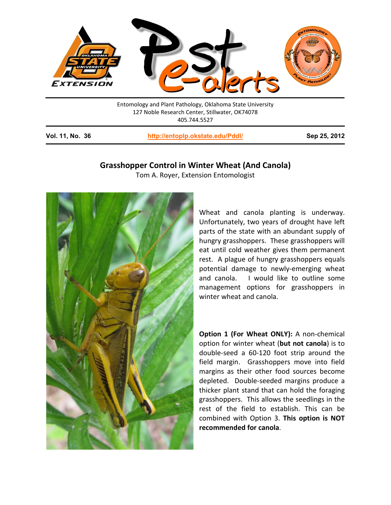

Entomology and Plant Pathology, Oklahoma State University 127 Noble Research Center, Stillwater, OK74078 405.744.5527

**Vol. 11, No. 36 <http://entoplp.okstate.edu/Pddl/> Sep 25, 2012**

## **Grasshopper Control in Winter Wheat (And Canola)**

Tom A. Royer, Extension Entomologist



Wheat and canola planting is underway. Unfortunately, two years of drought have left parts of the state with an abundant supply of hungry grasshoppers. These grasshoppers will eat until cold weather gives them permanent rest. A plague of hungry grasshoppers equals potential damage to newly-emerging wheat and canola. I would like to outline some management options for grasshoppers in winter wheat and canola.

**Option 1 (For Wheat ONLY):** A non-chemical option for winter wheat (**but not canola**) is to double-seed a 60-120 foot strip around the field margin. Grasshoppers move into field margins as their other food sources become depleted. Double-seeded margins produce a thicker plant stand that can hold the foraging grasshoppers. This allows the seedlings in the rest of the field to establish. This can be combined with Option 3. **This option is NOT recommended for canola**.